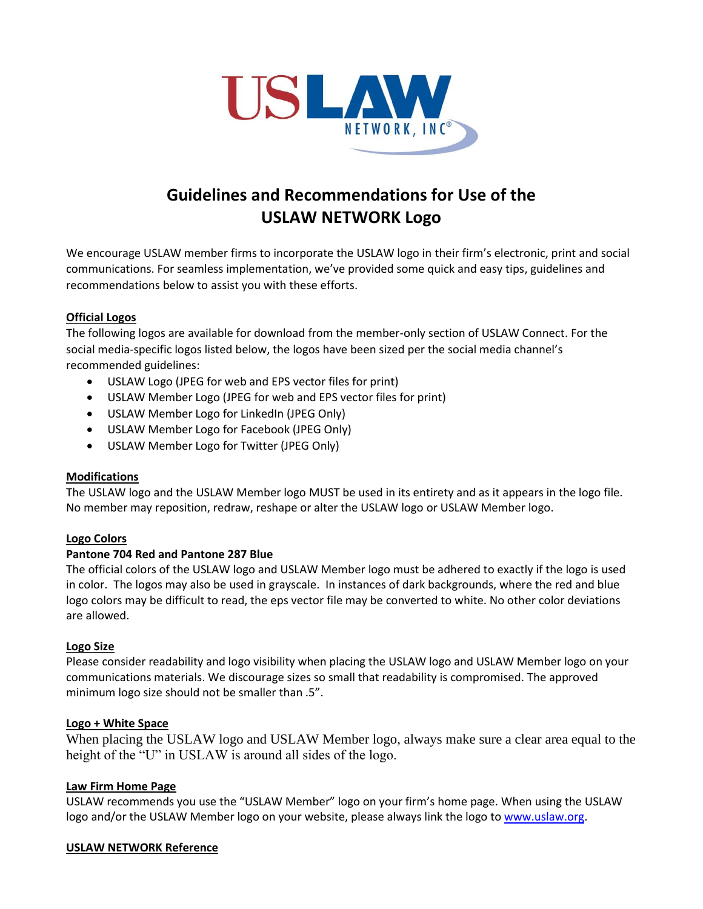

# **Guidelines and Recommendations for Use of the USLAW NETWORK Logo**

We encourage USLAW member firms to incorporate the USLAW logo in their firm's electronic, print and social communications. For seamless implementation, we've provided some quick and easy tips, guidelines and recommendations below to assist you with these efforts.

## **Official Logos**

The following logos are available for download from the member-only section of USLAW Connect. For the social media-specific logos listed below, the logos have been sized per the social media channel's recommended guidelines:

- USLAW Logo (JPEG for web and EPS vector files for print)
- USLAW Member Logo (JPEG for web and EPS vector files for print)
- USLAW Member Logo for LinkedIn (JPEG Only)
- USLAW Member Logo for Facebook (JPEG Only)
- USLAW Member Logo for Twitter (JPEG Only)

#### **Modifications**

The USLAW logo and the USLAW Member logo MUST be used in its entirety and as it appears in the logo file. No member may reposition, redraw, reshape or alter the USLAW logo or USLAW Member logo.

#### **Logo Colors**

#### **Pantone 704 Red and Pantone 287 Blue**

The official colors of the USLAW logo and USLAW Member logo must be adhered to exactly if the logo is used in color. The logos may also be used in grayscale. In instances of dark backgrounds, where the red and blue logo colors may be difficult to read, the eps vector file may be converted to white. No other color deviations are allowed.

#### **Logo Size**

Please consider readability and logo visibility when placing the USLAW logo and USLAW Member logo on your communications materials. We discourage sizes so small that readability is compromised. The approved minimum logo size should not be smaller than .5".

#### **Logo + White Space**

When placing the USLAW logo and USLAW Member logo, always make sure a clear area equal to the height of the "U" in USLAW is around all sides of the logo.

#### **Law Firm Home Page**

USLAW recommends you use the "USLAW Member" logo on your firm's home page. When using the USLAW logo and/or the USLAW Member logo on your website, please always link the logo to [www.uslaw.org.](http://www.uslaw.org/)

#### **USLAW NETWORK Reference**